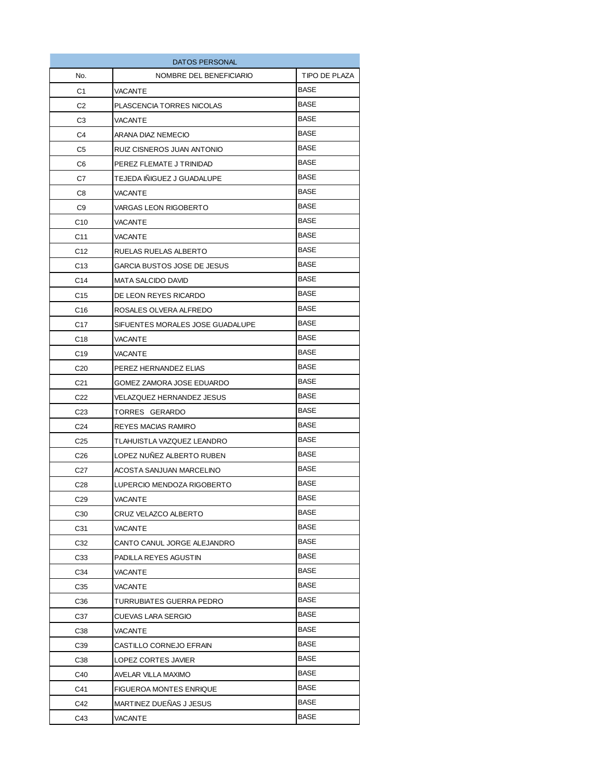| DATOS PERSONAL  |                                  |               |
|-----------------|----------------------------------|---------------|
| No.             | NOMBRE DEL BENEFICIARIO          | TIPO DE PLAZA |
| C1              | VACANTE                          | BASE          |
| C <sub>2</sub>  | PLASCENCIA TORRES NICOLAS        | <b>BASE</b>   |
| C3              | VACANTE                          | BASE          |
| C4              | ARANA DIAZ NEMECIO               | BASE          |
| C <sub>5</sub>  | RUIZ CISNEROS JUAN ANTONIO       | BASE          |
| C6              | PEREZ FLEMATE J TRINIDAD         | BASE          |
| C7              | TEJEDA IÑIGUEZ J GUADALUPE       | BASE          |
| C <sub>8</sub>  | <b>VACANTE</b>                   | BASE          |
| C <sub>9</sub>  | VARGAS LEON RIGOBERTO            | <b>BASE</b>   |
| C <sub>10</sub> | VACANTE                          | BASE          |
| C <sub>11</sub> | VACANTE                          | BASE          |
| C <sub>12</sub> | RUELAS RUELAS ALBERTO            | BASE          |
| C <sub>13</sub> | GARCIA BUSTOS JOSE DE JESUS      | BASE          |
| C <sub>14</sub> | MATA SALCIDO DAVID               | <b>BASE</b>   |
| C <sub>15</sub> | DE LEON REYES RICARDO            | <b>BASE</b>   |
| C <sub>16</sub> | ROSALES OLVERA ALFREDO           | BASE          |
| C <sub>17</sub> | SIFUENTES MORALES JOSE GUADALUPE | <b>BASE</b>   |
| C <sub>18</sub> | VACANTE                          | BASE          |
| C <sub>19</sub> | VACANTE                          | BASE          |
| C <sub>20</sub> | PEREZ HERNANDEZ ELIAS            | BASE          |
| C <sub>21</sub> | GOMEZ ZAMORA JOSE EDUARDO        | BASE          |
| C <sub>22</sub> | VELAZQUEZ HERNANDEZ JESUS        | BASE          |
| C <sub>23</sub> | TORRES GERARDO                   | <b>BASE</b>   |
| C <sub>24</sub> | REYES MACIAS RAMIRO              | BASE          |
| C <sub>25</sub> | TLAHUISTLA VAZQUEZ LEANDRO       | BASE          |
| C <sub>26</sub> | LOPEZ NUÑEZ ALBERTO RUBEN        | <b>BASE</b>   |
| C <sub>27</sub> | ACOSTA SANJUAN MARCELINO         | BASE          |
| C28             | LUPERCIO MENDOZA RIGOBERTO       | BASE          |
| C <sub>29</sub> | VACANTE                          | BASE          |
| C <sub>30</sub> | CRUZ VELAZCO ALBERTO             | BASE          |
| C31             | VACANTE                          | BASE          |
| C32             | CANTO CANUL JORGE ALEJANDRO      | BASE          |
| C <sub>33</sub> | PADILLA REYES AGUSTIN            | BASE          |
| C34             | VACANTE                          | BASE          |
| C <sub>35</sub> | VACANTE                          | BASE          |
| C36             | TURRUBIATES GUERRA PEDRO         | BASE          |
| C37             | CUEVAS LARA SERGIO               | <b>BASE</b>   |
| C38             | VACANTE                          | BASE          |
| C39             | CASTILLO CORNEJO EFRAIN          | <b>BASE</b>   |
| C38             | LOPEZ CORTES JAVIER              | <b>BASE</b>   |
| C40             | AVELAR VILLA MAXIMO              | BASE          |
| C41             | <b>FIGUEROA MONTES ENRIQUE</b>   | BASE          |
| C42             | MARTINEZ DUEÑAS J JESUS          | BASE          |
| C43             | VACANTE                          | BASE          |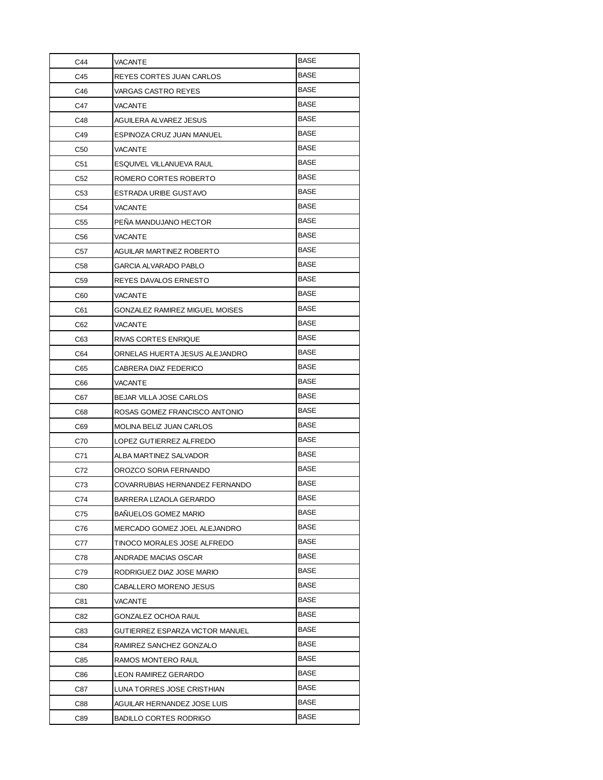| C44             | VACANTE                         | BASE        |
|-----------------|---------------------------------|-------------|
| C45             | REYES CORTES JUAN CARLOS        | BASE        |
| C46             | VARGAS CASTRO REYES             | <b>BASE</b> |
| C47             | VACANTE                         | BASE        |
| C48             | AGUILERA ALVAREZ JESUS          | BASE        |
| C49             | ESPINOZA CRUZ JUAN MANUEL       | BASE        |
| C <sub>50</sub> | VACANTE                         | BASE        |
| C51             | ESQUIVEL VILLANUEVA RAUL        | BASE        |
| C <sub>52</sub> | ROMERO CORTES ROBERTO           | <b>BASE</b> |
| C53             | ESTRADA URIBE GUSTAVO           | BASE        |
| C <sub>54</sub> | VACANTE                         | <b>BASE</b> |
| C55             | PENA MANDUJANO HECTOR           | <b>BASE</b> |
| C56             | VACANTE                         | <b>BASE</b> |
| C57             | <b>AGUILAR MARTINEZ ROBERTO</b> | BASE        |
| C58             | <b>GARCIA ALVARADO PABLO</b>    | BASE        |
| C <sub>59</sub> | REYES DAVALOS ERNESTO           | BASE        |
| C60             | VACANTE                         | BASE        |
| C61             | GONZALEZ RAMIREZ MIGUEL MOISES  | BASE        |
| C62             | VACANTE                         | BASE        |
| C63             | RIVAS CORTES ENRIQUE            | <b>BASE</b> |
| C64             | ORNELAS HUERTA JESUS ALEJANDRO  | BASE        |
| C65             | CABRERA DIAZ FEDERICO           | BASE        |
| C66             | VACANTE                         | BASE        |
| C67             | <b>BEJAR VILLA JOSE CARLOS</b>  | BASE        |
| C68             | ROSAS GOMEZ FRANCISCO ANTONIO   | BASE        |
| C69             | MOLINA BELIZ JUAN CARLOS        | BASE        |
| C70             | LOPEZ GUTIERREZ ALFREDO         | BASE        |
| C71             | ALBA MARTINEZ SALVADOR          | <b>BASE</b> |
| C72             | OROZCO SORIA FERNANDO           | <b>BASE</b> |
| C73             | COVARRUBIAS HERNANDEZ FERNANDO  | <b>BASE</b> |
| C74             | BARRERA LIZAOLA GERARDO         | BASE        |
| C75             | <b>BANUELOS GOMEZ MARIO</b>     | BASE        |
| C76             | MERCADO GOMEZ JOEL ALEJANDRO    | BASE        |
| C77             | TINOCO MORALES JOSE ALFREDO     | BASE        |
| C78             | ANDRADE MACIAS OSCAR            | BASE        |
| C79             | RODRIGUEZ DIAZ JOSE MARIO       | <b>BASE</b> |
| C80             | CABALLERO MORENO JESUS          | BASE        |
| C81             | VACANTE                         | BASE        |
| C82             | GONZALEZ OCHOA RAUL             | <b>BASE</b> |
| C83             | GUTIERREZ ESPARZA VICTOR MANUEL | BASE        |
| C84             | RAMIREZ SANCHEZ GONZALO         | BASE        |
| C85             | RAMOS MONTERO RAUL              | BASE        |
| C86             | LEON RAMIREZ GERARDO            | <b>BASE</b> |
| C87             | LUNA TORRES JOSE CRISTHIAN      | <b>BASE</b> |
| C88             | AGUILAR HERNANDEZ JOSE LUIS     | BASE        |
| C89             | <b>BADILLO CORTES RODRIGO</b>   | BASE        |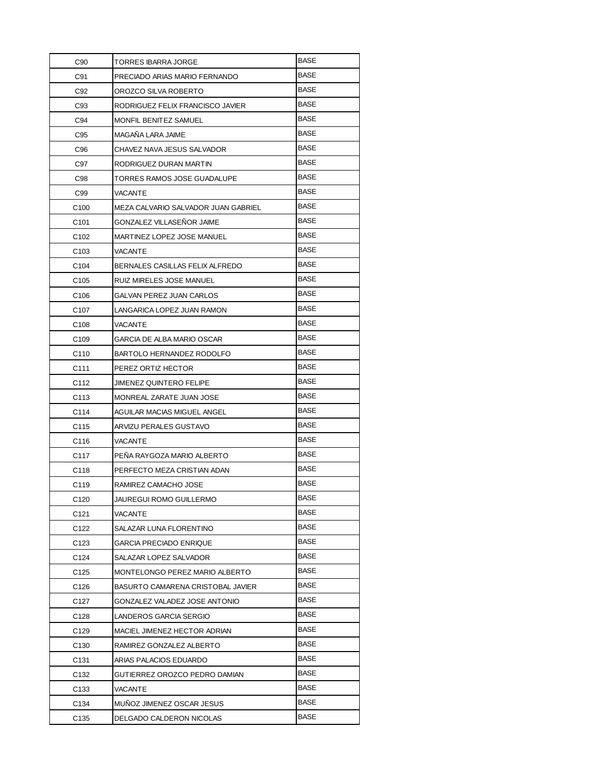| C90              | TORRES IBARRA JORGE                 | <b>BASE</b> |
|------------------|-------------------------------------|-------------|
| C91              | PRECIADO ARIAS MARIO FERNANDO       | <b>BASE</b> |
| C92              | OROZCO SILVA ROBERTO                | <b>BASE</b> |
| C93              | RODRIGUEZ FELIX FRANCISCO JAVIER    | <b>BASE</b> |
| C94              | MONFIL BENITEZ SAMUEL               | BASE        |
| C95              | MAGAÑA LARA JAIME                   | BASE        |
| C96              | CHAVEZ NAVA JESUS SALVADOR          | BASE        |
| C97              | RODRIGUEZ DURAN MARTIN              | BASE        |
| C98              | TORRES RAMOS JOSE GUADALUPE         | BASE        |
| C99              | <b>VACANTE</b>                      | <b>BASE</b> |
| C <sub>100</sub> | MEZA CALVARIO SALVADOR JUAN GABRIEL | <b>BASE</b> |
| C <sub>101</sub> | GONZALEZ VILLASENOR JAIME           | BASE        |
| C <sub>102</sub> | MARTINEZ LOPEZ JOSE MANUEL          | BASE        |
| C <sub>103</sub> | VACANTE                             | BASE        |
| C <sub>104</sub> | BERNALES CASILLAS FELIX ALFREDO     | BASE        |
| C <sub>105</sub> | RUIZ MIRELES JOSE MANUEL            | BASE        |
| C <sub>106</sub> | GALVAN PEREZ JUAN CARLOS            | BASE        |
| C <sub>107</sub> | LANGARICA LOPEZ JUAN RAMON          | BASE        |
| C <sub>108</sub> | VACANTE                             | <b>BASE</b> |
| C <sub>109</sub> | GARCIA DE ALBA MARIO OSCAR          | BASE        |
| C <sub>110</sub> | BARTOLO HERNANDEZ RODOLFO           | BASE        |
| C <sub>111</sub> | PEREZ ORTIZ HECTOR                  | BASE        |
| C112             | <b>JIMENEZ QUINTERO FELIPE</b>      | BASE        |
| C <sub>113</sub> | MONREAL ZARATE JUAN JOSE            | BASE        |
| C114             | AGUILAR MACIAS MIGUEL ANGEL         | BASE        |
| C115             | ARVIZU PERALES GUSTAVO              | BASE        |
| C116             | VACANTE                             | BASE        |
| C117             | PENA RAYGOZA MARIO ALBERTO          | BASE        |
| C118             | PERFECTO MEZA CRISTIAN ADAN         | <b>BASE</b> |
| C119             | RAMIREZ CAMACHO JOSE                | BASE        |
| C120             | JAUREGUI ROMO GUILLERMO             | <b>BASE</b> |
| C <sub>121</sub> | VACANTE                             | BASE        |
| C122             | SALAZAR LUNA FLORENTINO             | BASE        |
| C <sub>123</sub> | <b>GARCIA PRECIADO ENRIQUE</b>      | BASE        |
| C124             | SALAZAR LOPEZ SALVADOR              | <b>BASE</b> |
| C <sub>125</sub> | MONTELONGO PEREZ MARIO ALBERTO      | BASE        |
| C126             | BASURTO CAMARENA CRISTOBAL JAVIER   | BASE        |
| C127             | GONZALEZ VALADEZ JOSE ANTONIO       | BASE        |
| C128             | LANDEROS GARCIA SERGIO              | BASE        |
| C129             | MACIEL JIMENEZ HECTOR ADRIAN        | BASE        |
| C130             | RAMIREZ GONZALEZ ALBERTO            | BASE        |
| C <sub>131</sub> | ARIAS PALACIOS EDUARDO              | BASE        |
| C132             | GUTIERREZ OROZCO PEDRO DAMIAN       | BASE        |
| C <sub>133</sub> | VACANTE                             | BASE        |
| C <sub>134</sub> | MUNOZ JIMENEZ OSCAR JESUS           | BASE        |
| C135             | DELGADO CALDERON NICOLAS            | BASE        |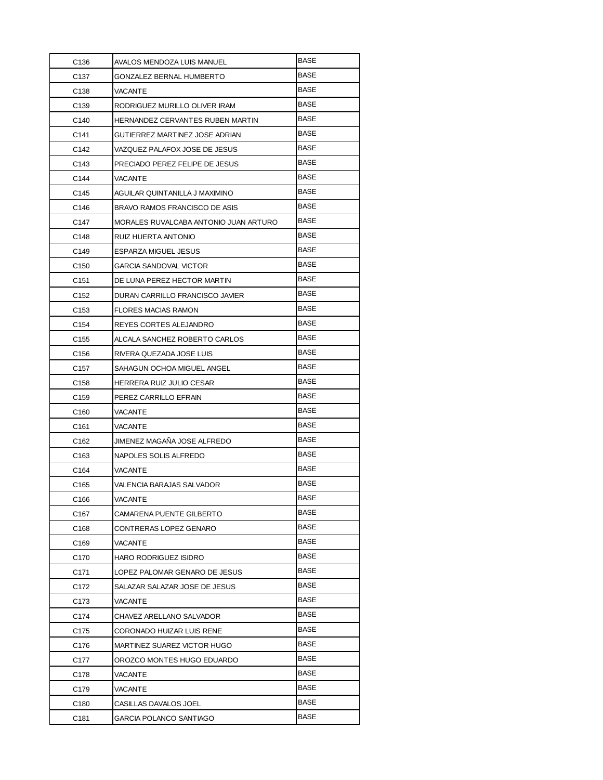| C <sub>136</sub> | AVALOS MENDOZA LUIS MANUEL            | <b>BASE</b> |
|------------------|---------------------------------------|-------------|
| C <sub>137</sub> | GONZALEZ BERNAL HUMBERTO              | <b>BASE</b> |
| C <sub>138</sub> | VACANTE                               | <b>BASE</b> |
| C <sub>139</sub> | RODRIGUEZ MURILLO OLIVER IRAM         | <b>BASE</b> |
| C <sub>140</sub> | HERNANDEZ CERVANTES RUBEN MARTIN      | BASE        |
| C141             | GUTIERREZ MARTINEZ JOSE ADRIAN        | BASE        |
| C <sub>142</sub> | VAZQUEZ PALAFOX JOSE DE JESUS         | <b>BASE</b> |
| C <sub>143</sub> | PRECIADO PEREZ FELIPE DE JESUS        | <b>BASE</b> |
| C144             | VACANTE                               | <b>BASE</b> |
| C145             | AGUILAR QUINTANILLA J MAXIMINO        | <b>BASE</b> |
| C146             | BRAVO RAMOS FRANCISCO DE ASIS         | <b>BASE</b> |
| C147             | MORALES RUVALCABA ANTONIO JUAN ARTURO | <b>BASE</b> |
| C148             | RUIZ HUERTA ANTONIO                   | <b>BASE</b> |
| C149             | ESPARZA MIGUEL JESUS                  | <b>BASE</b> |
| C <sub>150</sub> | GARCIA SANDOVAL VICTOR                | <b>BASE</b> |
| C <sub>151</sub> | DE LUNA PEREZ HECTOR MARTIN           | <b>BASE</b> |
| C <sub>152</sub> | DURAN CARRILLO FRANCISCO JAVIER       | <b>BASE</b> |
| C <sub>153</sub> | FLORES MACIAS RAMON                   | <b>BASE</b> |
| C <sub>154</sub> | REYES CORTES ALEJANDRO                | BASE        |
| C <sub>155</sub> | ALCALA SANCHEZ ROBERTO CARLOS         | BASE        |
| C <sub>156</sub> | RIVERA QUEZADA JOSE LUIS              | BASE        |
| C <sub>157</sub> | SAHAGUN OCHOA MIGUEL ANGEL            | <b>BASE</b> |
| C <sub>158</sub> | HERRERA RUIZ JULIO CESAR              | BASE        |
| C <sub>159</sub> | PEREZ CARRILLO EFRAIN                 | <b>BASE</b> |
| C <sub>160</sub> | <b>VACANTE</b>                        | <b>BASE</b> |
| C161             | VACANTE                               | <b>BASE</b> |
| C <sub>162</sub> | JIMENEZ MAGAÑA JOSE ALFREDO           | <b>BASE</b> |
| C <sub>163</sub> | NAPOLES SOLIS ALFREDO                 | BASE        |
| C <sub>164</sub> | VACANTE                               | <b>BASE</b> |
| C <sub>165</sub> | VALENCIA BARAJAS SALVADOR             | BASE        |
| C166             | VACANTE                               | <b>BASE</b> |
| C <sub>167</sub> | CAMARENA PUENTE GILBERTO              | <b>BASE</b> |
| C <sub>168</sub> | CONTRERAS LOPEZ GENARO                | BASE        |
| C <sub>169</sub> | VACANTE                               | BASE        |
| C <sub>170</sub> | <b>HARO RODRIGUEZ ISIDRO</b>          | BASE        |
| C <sub>171</sub> | LOPEZ PALOMAR GENARO DE JESUS         | <b>BASE</b> |
| C172             | SALAZAR SALAZAR JOSE DE JESUS         | BASE        |
| C173             | VACANTE                               | BASE        |
| C174             | CHAVEZ ARELLANO SALVADOR              | <b>BASE</b> |
| C175             | CORONADO HUIZAR LUIS RENE             | <b>BASE</b> |
| C176             | MARTINEZ SUAREZ VICTOR HUGO           | <b>BASE</b> |
| C177             | OROZCO MONTES HUGO EDUARDO            | <b>BASE</b> |
| C178             | VACANTE                               | <b>BASE</b> |
| C <sub>179</sub> | VACANTE                               | <b>BASE</b> |
| C180             | CASILLAS DAVALOS JOEL                 | BASE        |
| C181             | GARCIA POLANCO SANTIAGO               | BASE        |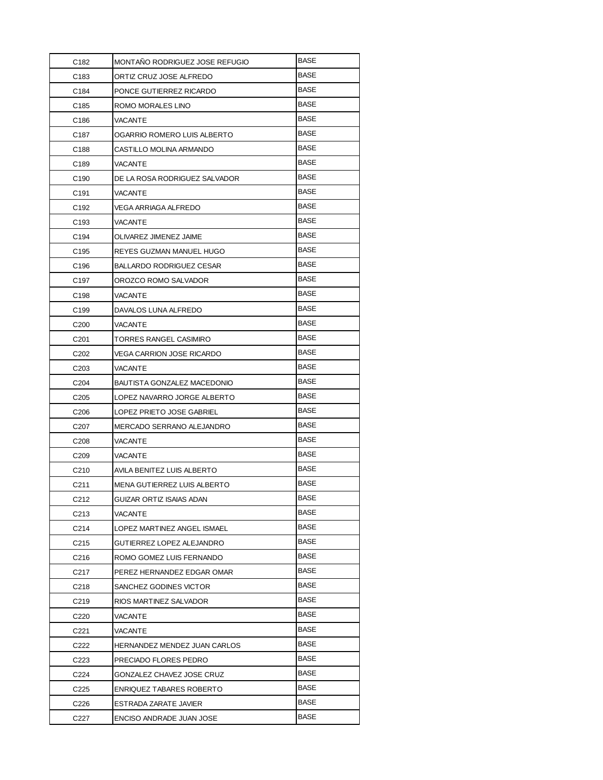| C182              | MONTANO RODRIGUEZ JOSE REFUGIO | <b>BASE</b> |
|-------------------|--------------------------------|-------------|
| C183              | ORTIZ CRUZ JOSE ALFREDO        | <b>BASE</b> |
| C184              | PONCE GUTIERREZ RICARDO        | <b>BASE</b> |
| C <sub>185</sub>  | ROMO MORALES LINO              | BASE        |
| C186              | VACANTE                        | BASE        |
| C <sub>187</sub>  | OGARRIO ROMERO LUIS ALBERTO    | BASE        |
| C188              | CASTILLO MOLINA ARMANDO        | <b>BASE</b> |
| C189              | VACANTE                        | <b>BASE</b> |
| C <sub>190</sub>  | DE LA ROSA RODRIGUEZ SALVADOR  | <b>BASE</b> |
| C <sub>191</sub>  | VACANTE                        | <b>BASE</b> |
| C <sub>192</sub>  | VEGA ARRIAGA ALFREDO           | <b>BASE</b> |
| C <sub>193</sub>  | VACANTE                        | <b>BASE</b> |
| C194              | OLIVAREZ JIMENEZ JAIME         | BASE        |
| C <sub>195</sub>  | REYES GUZMAN MANUEL HUGO       | <b>BASE</b> |
| C196              | BALLARDO RODRIGUEZ CESAR       | <b>BASE</b> |
| C <sub>197</sub>  | OROZCO ROMO SALVADOR           | <b>BASE</b> |
| C198              | <b>VACANTE</b>                 | <b>BASE</b> |
| C <sub>199</sub>  | DAVALOS LUNA ALFREDO           | BASE        |
| C <sub>200</sub>  | VACANTE                        | BASE        |
| C <sub>201</sub>  | TORRES RANGEL CASIMIRO         | BASE        |
| C <sub>202</sub>  | VEGA CARRION JOSE RICARDO      | <b>BASE</b> |
| C <sub>203</sub>  | VACANTE                        | <b>BASE</b> |
| C <sub>204</sub>  | BAUTISTA GONZALEZ MACEDONIO    | BASE        |
| C <sub>205</sub>  | LOPEZ NAVARRO JORGE ALBERTO    | <b>BASE</b> |
| C <sub>206</sub>  | LOPEZ PRIETO JOSE GABRIEL      | <b>BASE</b> |
| C <sub>20</sub> 7 | MERCADO SERRANO ALEJANDRO      | <b>BASE</b> |
| C <sub>208</sub>  | <b>VACANTE</b>                 | <b>BASE</b> |
| C <sub>209</sub>  | VACANTE                        | BASE        |
| C <sub>210</sub>  | AVILA BENITEZ LUIS ALBERTO     | <b>BASE</b> |
| C211              | MENA GUTIERREZ LUIS ALBERTO    | <b>BASE</b> |
| C212              | GUIZAR ORTIZ ISAIAS ADAN       | BASE        |
| C <sub>213</sub>  | VACANTE                        | BASE        |
| C214              | LOPEZ MARTINEZ ANGEL ISMAEL    | BASE        |
| C <sub>215</sub>  | GUTIERREZ LOPEZ ALEJANDRO      | BASE        |
| C216              | ROMO GOMEZ LUIS FERNANDO       | BASE        |
| C217              | PEREZ HERNANDEZ EDGAR OMAR     | BASE        |
| C218              | SANCHEZ GODINES VICTOR         | BASE        |
| C219              | RIOS MARTINEZ SALVADOR         | BASE        |
| C220              | VACANTE                        | BASE        |
| C221              | VACANTE                        | BASE        |
| C222              | HERNANDEZ MENDEZ JUAN CARLOS   | BASE        |
| C <sub>223</sub>  | PRECIADO FLORES PEDRO          | BASE        |
| C224              | GONZALEZ CHAVEZ JOSE CRUZ      | BASE        |
| C225              | ENRIQUEZ TABARES ROBERTO       | BASE        |
| C226              | ESTRADA ZARATE JAVIER          | BASE        |
| C227              | ENCISO ANDRADE JUAN JOSE       | BASE        |
|                   |                                |             |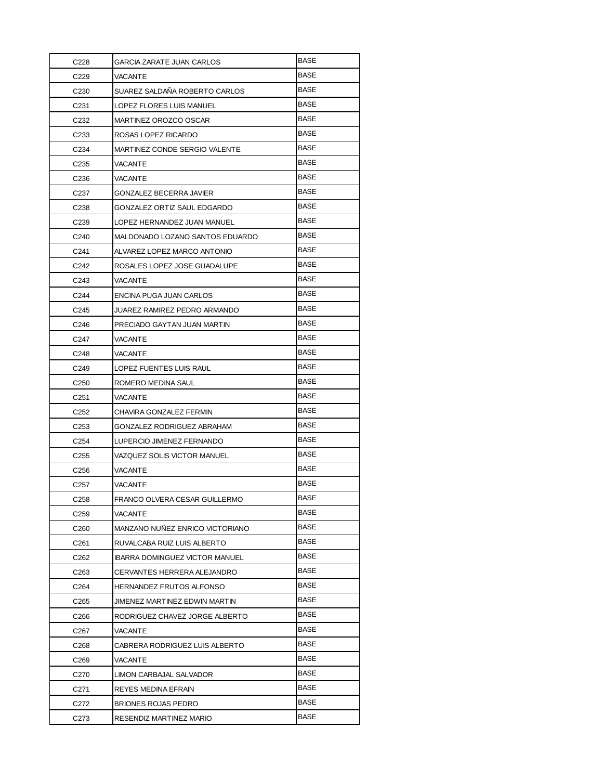| C228             | <b>GARCIA ZARATE JUAN CARLOS</b>      | BASE        |
|------------------|---------------------------------------|-------------|
| C229             | VACANTE                               | <b>BASE</b> |
| C <sub>230</sub> | SUAREZ SALDAÑA ROBERTO CARLOS         | <b>BASE</b> |
| C <sub>231</sub> | LOPEZ FLORES LUIS MANUEL              | <b>BASE</b> |
| C <sub>232</sub> | MARTINEZ OROZCO OSCAR                 | BASE        |
| C <sub>233</sub> | ROSAS LOPEZ RICARDO                   | BASE        |
| C <sub>234</sub> | MARTINEZ CONDE SERGIO VALENTE         | BASE        |
| C <sub>235</sub> | <b>VACANTE</b>                        | BASE        |
| C <sub>236</sub> | <b>VACANTE</b>                        | <b>BASE</b> |
| C <sub>237</sub> | GONZALEZ BECERRA JAVIER               | BASE        |
| C238             | GONZALEZ ORTIZ SAUL EDGARDO           | <b>BASE</b> |
| C <sub>239</sub> | LOPEZ HERNANDEZ JUAN MANUEL           | BASE        |
| C240             | MALDONADO LOZANO SANTOS EDUARDO       | BASE        |
| C241             | ALVAREZ LOPEZ MARCO ANTONIO           | BASE        |
| C <sub>242</sub> | ROSALES LOPEZ JOSE GUADALUPE          | BASE        |
| C243             | <b>VACANTE</b>                        | BASE        |
| C <sub>244</sub> | ENCINA PUGA JUAN CARLOS               | BASE        |
| C245             | JUAREZ RAMIREZ PEDRO ARMANDO          | <b>BASE</b> |
| C246             | PRECIADO GAYTAN JUAN MARTIN           | BASE        |
| C247             | <b>VACANTE</b>                        | BASE        |
| C248             | <b>VACANTE</b>                        | <b>BASE</b> |
| C249             | LOPEZ FUENTES LUIS RAUL               | BASE        |
| C <sub>250</sub> | ROMERO MEDINA SAUL                    | BASE        |
| C <sub>251</sub> | VACANTE                               | BASE        |
| C <sub>252</sub> | CHAVIRA GONZALEZ FERMIN               | BASE        |
| C <sub>253</sub> | GONZALEZ RODRIGUEZ ABRAHAM            | <b>BASE</b> |
| C <sub>254</sub> | LUPERCIO JIMENEZ FERNANDO             | BASE        |
| C <sub>255</sub> | VAZQUEZ SOLIS VICTOR MANUEL           | BASE        |
| C <sub>256</sub> | <b>VACANTE</b>                        | <b>BASE</b> |
| C <sub>257</sub> | VACANTE                               | BASE        |
| C <sub>258</sub> | FRANCO OLVERA CESAR GUILLERMO         | BASE        |
| C <sub>259</sub> | <b>VACANTE</b>                        | BASE        |
| C <sub>260</sub> | MANZANO NUÑEZ ENRICO VICTORIANO       | BASE        |
| C <sub>261</sub> | RUVALCABA RUIZ LUIS ALBERTO           | <b>BASE</b> |
| C <sub>262</sub> | <b>IBARRA DOMINGUEZ VICTOR MANUEL</b> | BASE        |
| C <sub>263</sub> | CERVANTES HERRERA ALEJANDRO           | <b>BASE</b> |
| C <sub>264</sub> | <b>HERNANDEZ FRUTOS ALFONSO</b>       | <b>BASE</b> |
| C <sub>265</sub> | JIMENEZ MARTINEZ EDWIN MARTIN         | BASE        |
| C <sub>266</sub> | RODRIGUEZ CHAVEZ JORGE ALBERTO        | BASE        |
| C267             | <b>VACANTE</b>                        | BASE        |
| C <sub>268</sub> | CABRERA RODRIGUEZ LUIS ALBERTO        | BASE        |
| C <sub>269</sub> | VACANTE                               | BASE        |
| C270             | LIMON CARBAJAL SALVADOR               | BASE        |
| C <sub>271</sub> | REYES MEDINA EFRAIN                   | BASE        |
| C272             | <b>BRIONES ROJAS PEDRO</b>            | BASE        |
| C273             | RESENDIZ MARTINEZ MARIO               | BASE        |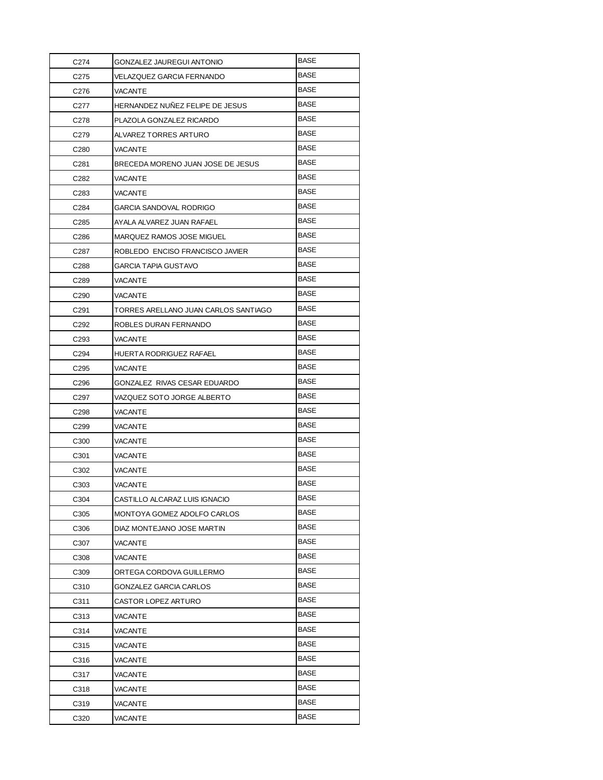| C274             | GONZALEZ JAUREGUI ANTONIO            | <b>BASE</b> |
|------------------|--------------------------------------|-------------|
| C275             | VELAZQUEZ GARCIA FERNANDO            | <b>BASE</b> |
| C276             | VACANTE                              | BASE        |
| C277             | HERNANDEZ NUÑEZ FELIPE DE JESUS      | BASE        |
| C278             | PLAZOLA GONZALEZ RICARDO             | <b>BASE</b> |
| C279             | ALVAREZ TORRES ARTURO                | BASE        |
| C280             | VACANTE                              | <b>BASE</b> |
| C <sub>281</sub> | BRECEDA MORENO JUAN JOSE DE JESUS    | <b>BASE</b> |
| C282             | VACANTE                              | <b>BASE</b> |
| C <sub>283</sub> | <b>VACANTE</b>                       | <b>BASE</b> |
| C284             | GARCIA SANDOVAL RODRIGO              | <b>BASE</b> |
| C <sub>285</sub> | AYALA ALVAREZ JUAN RAFAEL            | BASE        |
| C286             | MARQUEZ RAMOS JOSE MIGUEL            | BASE        |
| C287             | ROBLEDO ENCISO FRANCISCO JAVIER      | <b>BASE</b> |
| C <sub>288</sub> | GARCIA TAPIA GUSTAVO                 | <b>BASE</b> |
| C289             | VACANTE                              | <b>BASE</b> |
| C <sub>290</sub> | VACANTE                              | <b>BASE</b> |
| C <sub>291</sub> | TORRES ARELLANO JUAN CARLOS SANTIAGO | BASE        |
| C <sub>292</sub> | ROBLES DURAN FERNANDO                | BASE        |
| C293             | VACANTE                              | BASE        |
| C <sub>294</sub> | HUERTA RODRIGUEZ RAFAEL              | <b>BASE</b> |
| C295             | VACANTE                              | <b>BASE</b> |
| C <sub>296</sub> | GONZALEZ RIVAS CESAR EDUARDO         | BASE        |
| C297             | VAZQUEZ SOTO JORGE ALBERTO           | <b>BASE</b> |
| C <sub>298</sub> | VACANTE                              | <b>BASE</b> |
| C <sub>299</sub> | VACANTE                              | <b>BASE</b> |
| C <sub>300</sub> | VACANTE                              | <b>BASE</b> |
| C301             | VACANTE                              | BASE        |
| C302             | VACANTE                              | <b>BASE</b> |
| C303             | VACANTE                              | <b>BASE</b> |
| C304             | CASTILLO ALCARAZ LUIS IGNACIO        | BASE        |
| C305             | MONTOYA GOMEZ ADOLFO CARLOS          | BASE        |
| C306             | DIAZ MONTEJANO JOSE MARTIN           | BASE        |
| C307             | VACANTE                              | BASE        |
| C308             | VACANTE                              | BASE        |
| C309             | ORTEGA CORDOVA GUILLERMO             | BASE        |
| C310             | GONZALEZ GARCIA CARLOS               | <b>BASE</b> |
| C311             | CASTOR LOPEZ ARTURO                  | <b>BASE</b> |
| C313             | VACANTE                              | <b>BASE</b> |
| C314             | VACANTE                              | BASE        |
| C315             | VACANTE                              | BASE        |
| C316             | VACANTE                              | BASE        |
| C317             | VACANTE                              | BASE        |
| C318             | VACANTE                              | BASE        |
| C319             | VACANTE                              | <b>BASE</b> |
| C320             | VACANTE                              | BASE        |